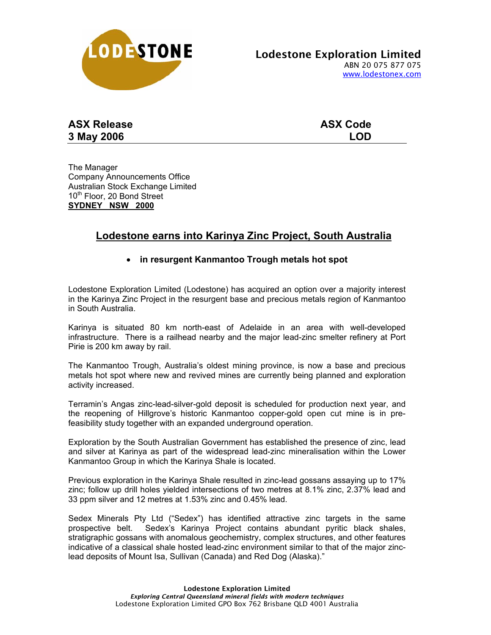

| <b>ASX Release</b> | <b>ASX Code</b> |
|--------------------|-----------------|
| 3 May 2006         | <b>LOD</b>      |

The Manager Company Announcements Office Australian Stock Exchange Limited 10<sup>th</sup> Floor, 20 Bond Street **SYDNEY NSW 2000**

## **Lodestone earns into Karinya Zinc Project, South Australia**

## • **in resurgent Kanmantoo Trough metals hot spot**

Lodestone Exploration Limited (Lodestone) has acquired an option over a majority interest in the Karinya Zinc Project in the resurgent base and precious metals region of Kanmantoo in South Australia.

Karinya is situated 80 km north-east of Adelaide in an area with well-developed infrastructure. There is a railhead nearby and the major lead-zinc smelter refinery at Port Pirie is 200 km away by rail.

The Kanmantoo Trough, Australia's oldest mining province, is now a base and precious metals hot spot where new and revived mines are currently being planned and exploration activity increased.

Terramin's Angas zinc-lead-silver-gold deposit is scheduled for production next year, and the reopening of Hillgrove's historic Kanmantoo copper-gold open cut mine is in prefeasibility study together with an expanded underground operation.

Exploration by the South Australian Government has established the presence of zinc, lead and silver at Karinya as part of the widespread lead-zinc mineralisation within the Lower Kanmantoo Group in which the Karinya Shale is located.

Previous exploration in the Karinya Shale resulted in zinc-lead gossans assaying up to 17% zinc; follow up drill holes yielded intersections of two metres at 8.1% zinc, 2.37% lead and 33 ppm silver and 12 metres at 1.53% zinc and 0.45% lead.

Sedex Minerals Pty Ltd ("Sedex") has identified attractive zinc targets in the same prospective belt. Sedex's Karinya Project contains abundant pyritic black shales, stratigraphic gossans with anomalous geochemistry, complex structures, and other features indicative of a classical shale hosted lead-zinc environment similar to that of the major zinclead deposits of Mount Isa, Sullivan (Canada) and Red Dog (Alaska)."